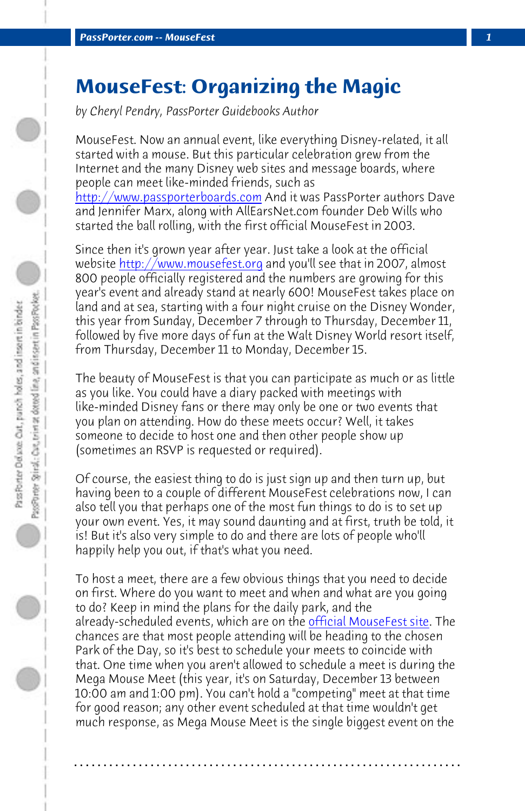*PassPorter.com -- MouseFest 1*

## **MouseFest: Organizing the Magic**

*by Cheryl Pendry, PassPorter Guidebooks Author*

MouseFest. Now an annual event, like everything Disney-related, it all started with a mouse. But this particular celebration grew from the Internet and the many Disney web sites and message boards, where people can meet like-minded friends, such as http://www.passporterboards.com And it was PassPorter authors Dave and Jennifer Marx, along with AllEarsNet.com founder Deb Wills who started the ball rolling, with the first official MouseFest in 2003.

Since then it's grown year after year. Just take a look at the official website http://www.mousefest.org and you'll see that in 2007, almost 800 people officially registered and the numbers are growing for this year's event and already stand at nearly 600! MouseFest takes place on land and at sea, starting with a four night cruise on the Disney Wonder, this year from Sunday, December 7 through to Thursday, December 11, followed by five more days of fun at the Walt Disney World resort itself, from Thursday, December 11 to Monday, December 15.

The beauty of MouseFest is that you can pa[rticipate as much or as](http://www.mousefest.org/meets2008_start.php) little as you like. You could have a diary packed with meetings with like-minded Disney fans or there may only be one or two events that you plan on attending. How do these meets occur? Well, it takes someone to decide to host one and then other people show up (sometimes an RSVP is requested or required).

Of course, the easiest thing to do is just sign up and then turn up, but having been to a couple of different MouseFest celebrations now, I can also tell you that perhaps one of the most fun things to do is to set up your own event. Yes, it may sound daunting and at first, truth be told, it is! But it's also very simple to do and there are lots of people who'll happily help you out, if that's what you need.

To host a meet, there are a few obvious things that you need to decide on first. Where do you want to meet and when and what are you going to do? Keep in mind the plans for the daily park, and the already-scheduled events, which are on the **official MouseFest site.** The chances are that most people attending will be heading to the chosen Park of the Day, so it's best to schedule your meets to coincide with that. One time when you aren't allowed to schedule a meet is during the Mega Mouse Meet (this year, it's on Saturday, December 13 between 10:00 am and 1:00 pm). You can't hold a "competing" meet at that time for good reason; any other event scheduled at that time wouldn't get much response, as Mega Mouse Meet is the single biggest event on the

**. . . . . . . . . . . . . . . . . . . . . . . . . . . . . . . . . . . . . . . . . . . . . . . . . . . . . . . . . . . . . . . . . .**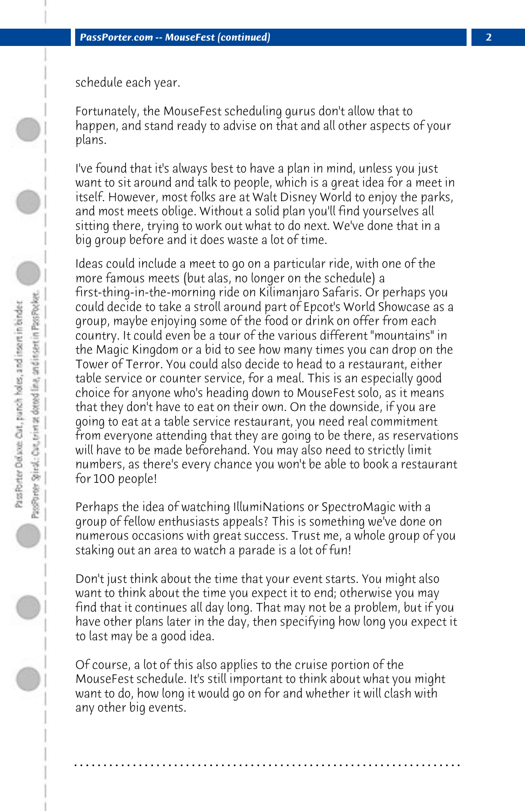schedule each year.

Fortunately, the MouseFest scheduling gurus don't allow that to happen, and stand ready to advise on that and all other aspects of your plans.

I've found that it's always best to have a plan in mind, unless you just want to sit around and talk to people, which is a great idea for a meet in itself. However, most folks are at Walt Disney World to enjoy the parks, and most meets oblige. Without a solid plan you'll find yourselves all sitting there, trying to work out what to do next. We've done that in a big group before and it does waste a lot of time.

Ideas could include a meet to go on a particular ride, with one of the more famous meets (but alas, no longer on the schedule) a first-thing-in-the-morning ride on Kilimanjaro Safaris. Or perhaps you could decide to take a stroll around part of Epcot's World Showcase as a group, maybe enjoying some of the food or drink on offer from each country. It could even be a tour of the various different "mountains" in the Magic Kingdom or a bid to see how many times you can drop on the Tower of Terror. You could also decide to head to a restaurant, either table service or counter service, for a meal. This is an especially good choice for anyone who's heading down to MouseFest solo, as it means that they don't have to eat on their own. On the downside, if you are going to eat at a table service restaurant, you need real commitment from everyone attending that they are going to be there, as reservations will have to be made beforehand. You may also need to strictly limit numbers, as there's every chance you won't be able to book a restaurant for 100 people!

Perhaps the idea of watching IllumiNations or SpectroMagic with a group of fellow enthusiasts appeals? This is something we've done on numerous occasions with great success. Trust me, a whole group of you staking out an area to watch a parade is a lot of fun!

Don't just think about the time that your event starts. You might also want to think about the time you expect it to end; otherwise you may find that it continues all day long. That may not be a problem, but if you have other plans later in the day, then specifying how long you expect it to last may be a good idea.

Of course, a lot of this also applies to the cruise portion of the MouseFest schedule. It's still important to think about what you might want to do, how long it would go on for and whether it will clash with any other big events.

**. . . . . . . . . . . . . . . . . . . . . . . . . . . . . . . . . . . . . . . . . . . . . . . . . . . . . . . . . . . . . . . . . .**